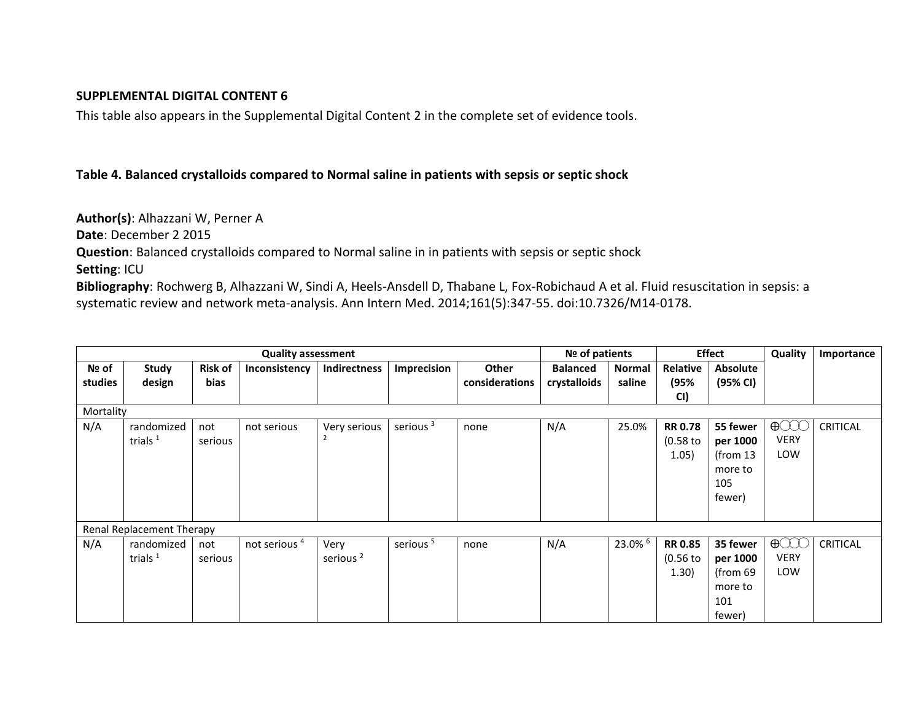## **SUPPLEMENTAL DIGITAL CONTENT 6**

This table also appears in the Supplemental Digital Content 2 in the complete set of evidence tools.

## **Table 4. Balanced crystalloids compared to Normal saline in patients with sepsis or septic shock**

**Author(s)**: Alhazzani W, Perner A **Date**: December 2 2015 **Question**: Balanced crystalloids compared to Normal saline in in patients with sepsis or septic shock **Setting**: ICU **Bibliography**: Rochwerg B, Alhazzani W, Sindi A, Heels-Ansdell D, Thabane L, Fox-Robichaud A et al. Fluid resuscitation in sepsis: a systematic review and network meta-analysis. Ann Intern Med. 2014;161(5):347-55. doi:10.7326/M14-0178.

|              |                           |                |                                                        |               |             |                |                 |                  |                 |                | Quality |            |
|--------------|---------------------------|----------------|--------------------------------------------------------|---------------|-------------|----------------|-----------------|------------------|-----------------|----------------|---------|------------|
|              | <b>Quality assessment</b> |                |                                                        |               |             |                |                 | $N2$ of patients |                 | <b>Effect</b>  |         | Importance |
| Nº of        | Study                     | <b>Risk of</b> | Inconsistency                                          | Indirectness  | Imprecision | <b>Other</b>   | <b>Balanced</b> | <b>Normal</b>    | <b>Relative</b> | Absolute       |         |            |
| studies      | design                    | bias           |                                                        |               |             | considerations | crystalloids    | saline           | (95%            | (95% CI)       |         |            |
|              |                           |                |                                                        |               |             |                |                 |                  | CI)             |                |         |            |
| Mortality    |                           |                |                                                        |               |             |                |                 |                  |                 |                |         |            |
| $N1/\Lambda$ | rondomisad I              | $n - 1$        | $n \wedge + \wedge \wedge \wedge \wedge \wedge \wedge$ | $\frac{1}{2}$ | aariana 3   | max            | N/I             | $2F$ 00/         |                 | $\overline{D}$ |         | CDITICAL   |

| studies                          | design     | bias    |                          |                      |                      | considerations | crystalloids | saline  | (95%           | (95% CI)   |             |                 |
|----------------------------------|------------|---------|--------------------------|----------------------|----------------------|----------------|--------------|---------|----------------|------------|-------------|-----------------|
|                                  |            |         |                          |                      |                      |                |              |         | CI)            |            |             |                 |
| Mortality                        |            |         |                          |                      |                      |                |              |         |                |            |             |                 |
| N/A                              | randomized | not     | not serious              | Very serious         | serious <sup>3</sup> | none           | N/A          | 25.0%   | <b>RR 0.78</b> | 55 fewer   | $\bigoplus$ | <b>CRITICAL</b> |
|                                  | trials $1$ | serious |                          |                      |                      |                |              |         | $(0.58$ to     | per 1000   | <b>VERY</b> |                 |
|                                  |            |         |                          |                      |                      |                |              |         | 1.05)          | (from $13$ | LOW         |                 |
|                                  |            |         |                          |                      |                      |                |              |         |                | more to    |             |                 |
|                                  |            |         |                          |                      |                      |                |              |         |                | 105        |             |                 |
|                                  |            |         |                          |                      |                      |                |              |         |                | fewer)     |             |                 |
|                                  |            |         |                          |                      |                      |                |              |         |                |            |             |                 |
| <b>Renal Replacement Therapy</b> |            |         |                          |                      |                      |                |              |         |                |            |             |                 |
| N/A                              | randomized | not     | not serious <sup>4</sup> | Very                 | serious <sup>5</sup> | none           | N/A          | 23.0% 6 | <b>RR 0.85</b> | 35 fewer   | $\bigoplus$ | <b>CRITICAL</b> |
|                                  | trials $1$ | serious |                          | serious <sup>2</sup> |                      |                |              |         | $(0.56$ to     | per 1000   | <b>VERY</b> |                 |
|                                  |            |         |                          |                      |                      |                |              |         | 1.30)          | (from 69   | LOW         |                 |
|                                  |            |         |                          |                      |                      |                |              |         |                | more to    |             |                 |
|                                  |            |         |                          |                      |                      |                |              |         |                | 101        |             |                 |
|                                  |            |         |                          |                      |                      |                |              |         |                | fewer)     |             |                 |